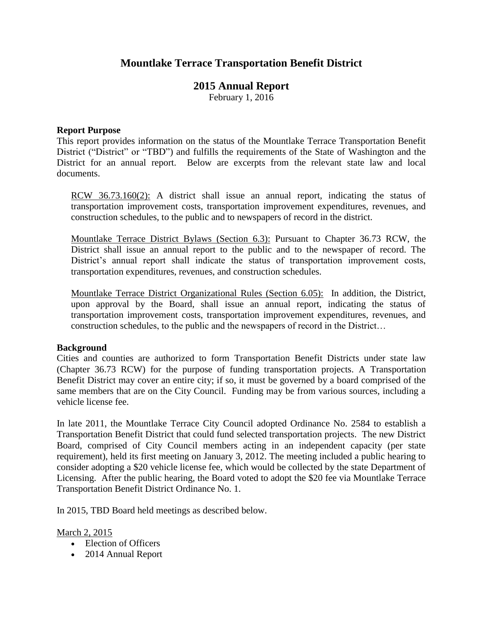# **Mountlake Terrace Transportation Benefit District**

## **2015 Annual Report**

February 1, 2016

#### **Report Purpose**

This report provides information on the status of the Mountlake Terrace Transportation Benefit District ("District" or "TBD") and fulfills the requirements of the State of Washington and the District for an annual report. Below are excerpts from the relevant state law and local documents.

RCW 36.73.160(2): A district shall issue an annual report, indicating the status of transportation improvement costs, transportation improvement expenditures, revenues, and construction schedules, to the public and to newspapers of record in the district.

Mountlake Terrace District Bylaws (Section 6.3): Pursuant to Chapter 36.73 RCW, the District shall issue an annual report to the public and to the newspaper of record. The District's annual report shall indicate the status of transportation improvement costs, transportation expenditures, revenues, and construction schedules.

Mountlake Terrace District Organizational Rules (Section 6.05): In addition, the District, upon approval by the Board, shall issue an annual report, indicating the status of transportation improvement costs, transportation improvement expenditures, revenues, and construction schedules, to the public and the newspapers of record in the District…

#### **Background**

Cities and counties are authorized to form Transportation Benefit Districts under state law (Chapter 36.73 RCW) for the purpose of funding transportation projects. A Transportation Benefit District may cover an entire city; if so, it must be governed by a board comprised of the same members that are on the City Council. Funding may be from various sources, including a vehicle license fee.

In late 2011, the Mountlake Terrace City Council adopted Ordinance No. 2584 to establish a Transportation Benefit District that could fund selected transportation projects. The new District Board, comprised of City Council members acting in an independent capacity (per state requirement), held its first meeting on January 3, 2012. The meeting included a public hearing to consider adopting a \$20 vehicle license fee, which would be collected by the state Department of Licensing. After the public hearing, the Board voted to adopt the \$20 fee via Mountlake Terrace Transportation Benefit District Ordinance No. 1.

In 2015, TBD Board held meetings as described below.

#### March 2, 2015

- Election of Officers
- 2014 Annual Report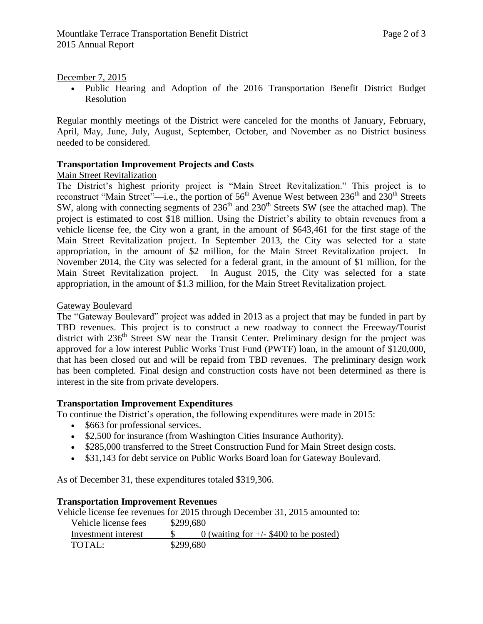### December 7, 2015

 Public Hearing and Adoption of the 2016 Transportation Benefit District Budget Resolution

Regular monthly meetings of the District were canceled for the months of January, February, April, May, June, July, August, September, October, and November as no District business needed to be considered.

## **Transportation Improvement Projects and Costs**

## Main Street Revitalization

The District's highest priority project is "Main Street Revitalization." This project is to reconstruct "Main Street"—i.e., the portion of  $56<sup>th</sup>$  Avenue West between  $236<sup>th</sup>$  and  $230<sup>th</sup>$  Streets SW, along with connecting segments of  $236<sup>th</sup>$  and  $230<sup>th</sup>$  Streets SW (see the attached map). The project is estimated to cost \$18 million. Using the District's ability to obtain revenues from a vehicle license fee, the City won a grant, in the amount of \$643,461 for the first stage of the Main Street Revitalization project. In September 2013, the City was selected for a state appropriation, in the amount of \$2 million, for the Main Street Revitalization project. In November 2014, the City was selected for a federal grant, in the amount of \$1 million, for the Main Street Revitalization project. In August 2015, the City was selected for a state appropriation, in the amount of \$1.3 million, for the Main Street Revitalization project.

## Gateway Boulevard

The "Gateway Boulevard" project was added in 2013 as a project that may be funded in part by TBD revenues. This project is to construct a new roadway to connect the Freeway/Tourist district with 236<sup>th</sup> Street SW near the Transit Center. Preliminary design for the project was approved for a low interest Public Works Trust Fund (PWTF) loan, in the amount of \$120,000, that has been closed out and will be repaid from TBD revenues. The preliminary design work has been completed. Final design and construction costs have not been determined as there is interest in the site from private developers.

#### **Transportation Improvement Expenditures**

To continue the District's operation, the following expenditures were made in 2015:

- \$663 for professional services.
- \$2,500 for insurance (from Washington Cities Insurance Authority).
- \$285,000 transferred to the Street Construction Fund for Main Street design costs.
- \$31,143 for debt service on Public Works Board loan for Gateway Boulevard.

As of December 31, these expenditures totaled \$319,306.

#### **Transportation Improvement Revenues**

Vehicle license fee revenues for 2015 through December 31, 2015 amounted to:

| Vehicle license fees | \$299,680 |                                          |
|----------------------|-----------|------------------------------------------|
| Investment interest  |           | 0 (waiting for $+/-$ \$400 to be posted) |
| TOTAL:               | \$299,680 |                                          |